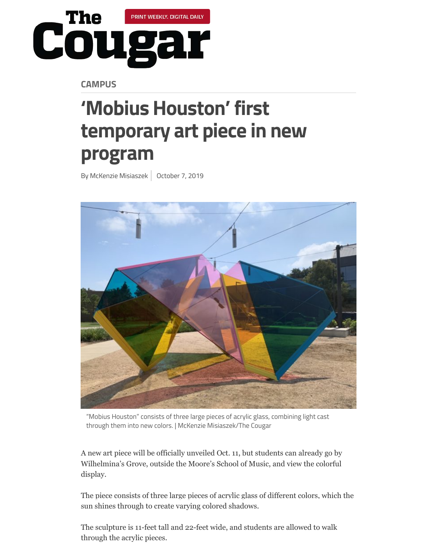

**CAMPUS**

## **'Mobius Houston' first temporary art piece in new [program](https://thedailycougar.com/byline/mckenzie-misiaszek/)**

By McKenzie Misiaszek | October 7, 2019



"Mobius Houston" consists of three large pieces of acrylic glass, combining light cast through them into new colors. | McKenzie Misiaszek/The Cougar

A new art piece will be officially unveiled Oct. 11, but students can already go by Wilhelmina's Grove, outside the Moore's School of Music, and view the colorful display.

The piece consists of three large pieces of acrylic glass of different colors, which the sun shines through to create varying colored shadows.

The sculpture is 11-feet tall and 22-feet wide, and students are allowed to walk through the acrylic pieces.